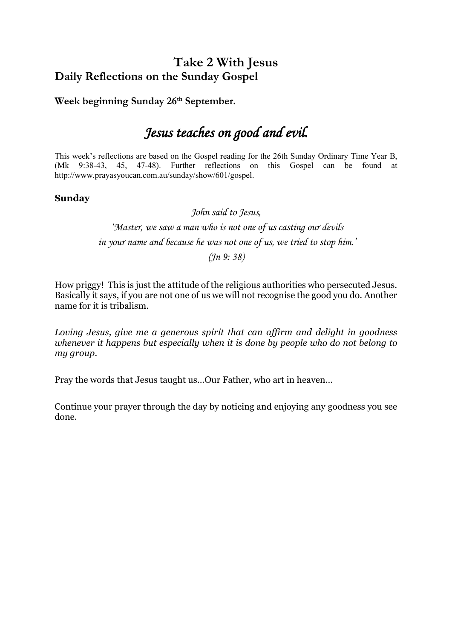# **Take 2 With Jesus Daily Reflections on the Sunday Gospel**

Week beginning Sunday 26<sup>th</sup> September.

# *Jesus teaches on good and evil.*

This week's reflections are based on the Gospel reading for the 26th Sunday Ordinary Time Year B, (Mk 9:38-43, 45, 47-48). Further reflections on this Gospel can be found at http://www.prayasyoucan.com.au/sunday/show/601/gospel.

## **Sunday**

*John said to Jesus, 'Master, we saw a man who is not one of us casting our devils in your name and because he was not one of us, we tried to stop him.' (Jn 9: 38)*

How priggy! This is just the attitude of the religious authorities who persecuted Jesus. Basically it says, if you are not one of us we will not recognise the good you do. Another name for it is tribalism.

*Loving Jesus, give me a generous spirit that can affirm and delight in goodness whenever it happens but especially when it is done by people who do not belong to my group.* 

Pray the words that Jesus taught us…Our Father, who art in heaven…

Continue your prayer through the day by noticing and enjoying any goodness you see done.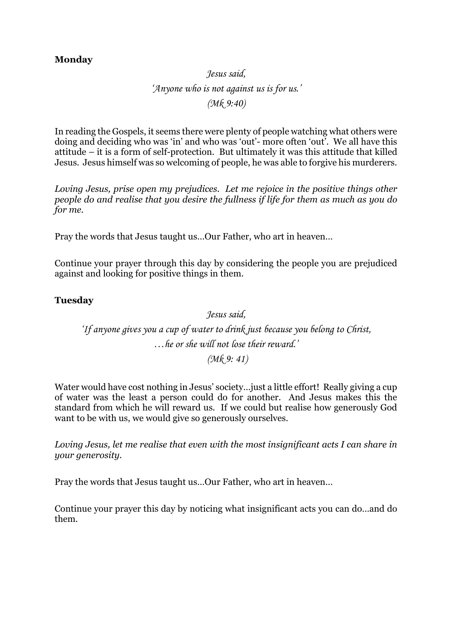### **Monday**

# *Jesus said, 'Anyone who is not against us is for us.' (Mk 9:40)*

In reading the Gospels, it seems there were plenty of people watching what others were doing and deciding who was 'in' and who was 'out'- more often 'out'. We all have this attitude – it is a form of self-protection. But ultimately it was this attitude that killed Jesus. Jesus himself was so welcoming of people, he was able to forgive his murderers.

*Loving Jesus, prise open my prejudices. Let me rejoice in the positive things other people do and realise that you desire the fullness if life for them as much as you do for me.*

Pray the words that Jesus taught us…Our Father, who art in heaven…

Continue your prayer through this day by considering the people you are prejudiced against and looking for positive things in them.

#### **Tuesday**

*Jesus said, 'If anyone gives you a cup of water to drink just because you belong to Christ, …he or she will not lose their reward.' (Mk 9: 41)*

Water would have cost nothing in Jesus' society…just a little effort! Really giving a cup of water was the least a person could do for another. And Jesus makes this the standard from which he will reward us. If we could but realise how generously God want to be with us, we would give so generously ourselves.

*Loving Jesus, let me realise that even with the most insignificant acts I can share in your generosity.*

Pray the words that Jesus taught us…Our Father, who art in heaven…

Continue your prayer this day by noticing what insignificant acts you can do…and do them.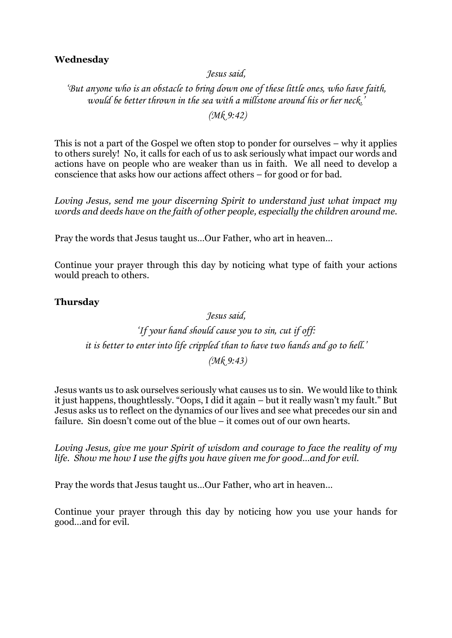## **Wednesday**

*Jesus said,*

*'But anyone who is an obstacle to bring down one of these little ones, who have faith, would be better thrown in the sea with a millstone around his or her neck.'*

*(Mk 9:42)*

This is not a part of the Gospel we often stop to ponder for ourselves – why it applies to others surely! No, it calls for each of us to ask seriously what impact our words and actions have on people who are weaker than us in faith. We all need to develop a conscience that asks how our actions affect others – for good or for bad.

*Loving Jesus, send me your discerning Spirit to understand just what impact my words and deeds have on the faith of other people, especially the children around me.* 

Pray the words that Jesus taught us…Our Father, who art in heaven…

Continue your prayer through this day by noticing what type of faith your actions would preach to others.

#### **Thursday**

### *Jesus said,*

*'If your hand should cause you to sin, cut if off: it is better to enter into life crippled than to have two hands and go to hell.' (Mk 9:43)*

Jesus wants us to ask ourselves seriously what causes us to sin. We would like to think it just happens, thoughtlessly. "Oops, I did it again – but it really wasn't my fault." But Jesus asks us to reflect on the dynamics of our lives and see what precedes our sin and failure. Sin doesn't come out of the blue – it comes out of our own hearts.

*Loving Jesus, give me your Spirit of wisdom and courage to face the reality of my life. Show me how I use the gifts you have given me for good…and for evil.*

Pray the words that Jesus taught us…Our Father, who art in heaven…

Continue your prayer through this day by noticing how you use your hands for good…and for evil.